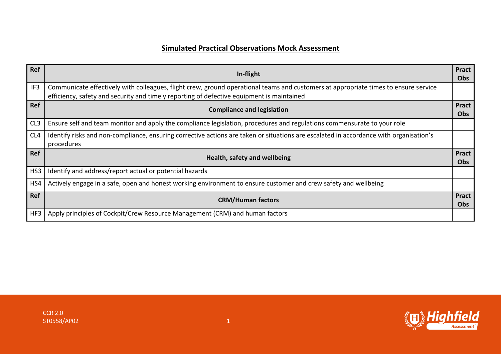## **Simulated Practical Observations Mock Assessment**

| Ref             | In-flight                                                                                                                                                                                                                        | <b>Pract</b><br>Obs        |
|-----------------|----------------------------------------------------------------------------------------------------------------------------------------------------------------------------------------------------------------------------------|----------------------------|
| IF3             | Communicate effectively with colleagues, flight crew, ground operational teams and customers at appropriate times to ensure service<br>efficiency, safety and security and timely reporting of defective equipment is maintained |                            |
| <b>Ref</b>      | <b>Compliance and legislation</b>                                                                                                                                                                                                | <b>Pract</b><br><b>Obs</b> |
| CL <sub>3</sub> | Ensure self and team monitor and apply the compliance legislation, procedures and regulations commensurate to your role                                                                                                          |                            |
| CL4             | Identify risks and non-compliance, ensuring corrective actions are taken or situations are escalated in accordance with organisation's<br>procedures                                                                             |                            |
| <b>Ref</b>      | Health, safety and wellbeing                                                                                                                                                                                                     | Pract<br><b>Obs</b>        |
| HS3             | Identify and address/report actual or potential hazards                                                                                                                                                                          |                            |
| HS4             | Actively engage in a safe, open and honest working environment to ensure customer and crew safety and wellbeing                                                                                                                  |                            |
| Ref             | <b>CRM/Human factors</b>                                                                                                                                                                                                         | <b>Pract</b><br><b>Obs</b> |
| HF3             | Apply principles of Cockpit/Crew Resource Management (CRM) and human factors                                                                                                                                                     |                            |